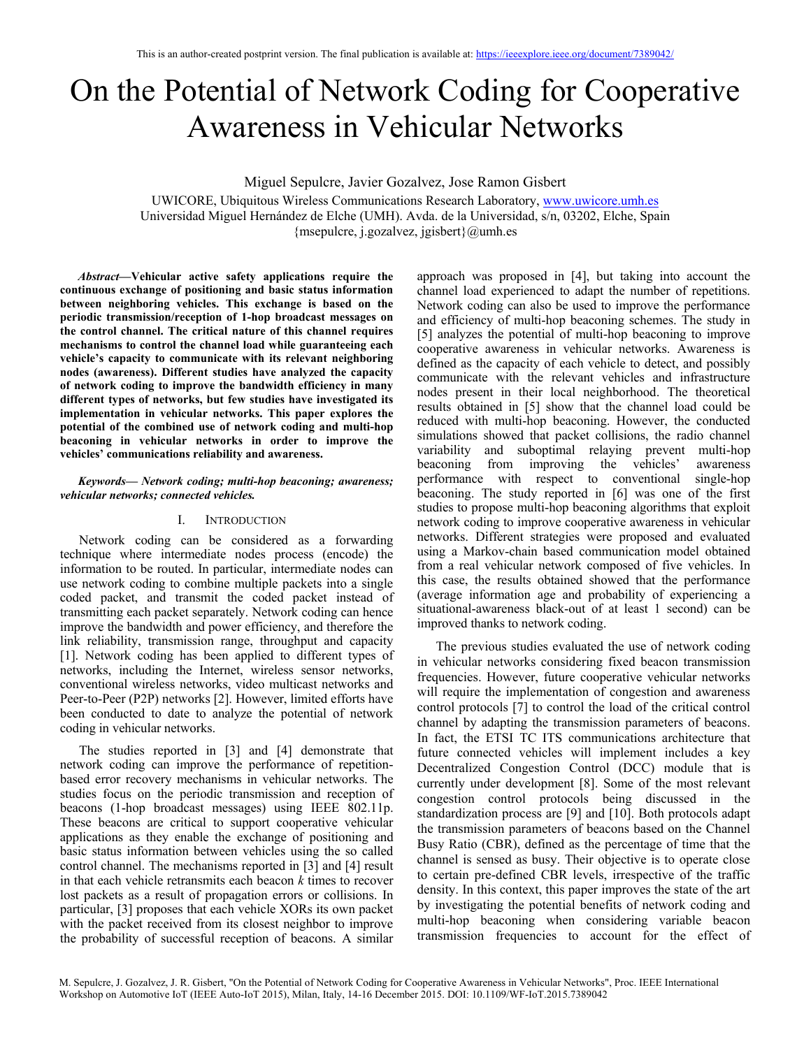# On the Potential of Network Coding for Cooperative Awareness in Vehicular Networks

Miguel Sepulcre, Javier Gozalvez, Jose Ramon Gisbert

UWICORE, Ubiquitous Wireless Communications Research Laboratory, [www.uwicore.umh.es](http://www.uwicore.umh.es/) Universidad Miguel Hernández de Elche (UMH). Avda. de la Universidad, s/n, 03202, Elche, Spain {msepulcre, j.gozalvez, jgisbert}@umh.es

*Abstract***—Vehicular active safety applications require the continuous exchange of positioning and basic status information between neighboring vehicles. This exchange is based on the periodic transmission/reception of 1-hop broadcast messages on the control channel. The critical nature of this channel requires mechanisms to control the channel load while guaranteeing each vehicle's capacity to communicate with its relevant neighboring nodes (awareness). Different studies have analyzed the capacity of network coding to improve the bandwidth efficiency in many different types of networks, but few studies have investigated its implementation in vehicular networks. This paper explores the potential of the combined use of network coding and multi-hop beaconing in vehicular networks in order to improve the vehicles' communications reliability and awareness.** 

# *Keywords— Network coding; multi-hop beaconing; awareness; vehicular networks; connected vehicles.*

## I. INTRODUCTION

Network coding can be considered as a forwarding technique where intermediate nodes process (encode) the information to be routed. In particular, intermediate nodes can use network coding to combine multiple packets into a single coded packet, and transmit the coded packet instead of transmitting each packet separately. Network coding can hence improve the bandwidth and power efficiency, and therefore the link reliability, transmission range, throughput and capacity [\[1\].](#page-5-0) Network coding has been applied to different types of networks, including the Internet, wireless sensor networks, conventional wireless networks, video multicast networks and Peer-to-Peer (P2P) networks [\[2\].](#page-5-1) However, limited efforts have been conducted to date to analyze the potential of network coding in vehicular networks.

The studies reported in [\[3\]](#page-5-2) and [\[4\]](#page-5-3) demonstrate that network coding can improve the performance of repetitionbased error recovery mechanisms in vehicular networks. The studies focus on the periodic transmission and reception of beacons (1-hop broadcast messages) using IEEE 802.11p. These beacons are critical to support cooperative vehicular applications as they enable the exchange of positioning and basic status information between vehicles using the so called control channel. The mechanisms reported in [\[3\]](#page-5-2) and [\[4\]](#page-5-3) result in that each vehicle retransmits each beacon *k* times to recover lost packets as a result of propagation errors or collisions. In particular, [\[3\]](#page-5-2) proposes that each vehicle XORs its own packet with the packet received from its closest neighbor to improve the probability of successful reception of beacons. A similar

approach was proposed in [\[4\],](#page-5-3) but taking into account the channel load experienced to adapt the number of repetitions. Network coding can also be used to improve the performance and efficiency of multi-hop beaconing schemes. The study in [\[5\]](#page-5-4) analyzes the potential of multi-hop beaconing to improve cooperative awareness in vehicular networks. Awareness is defined as the capacity of each vehicle to detect, and possibly communicate with the relevant vehicles and infrastructure nodes present in their local neighborhood. The theoretical results obtained in [\[5\]](#page-5-4) show that the channel load could be reduced with multi-hop beaconing. However, the conducted simulations showed that packet collisions, the radio channel variability and suboptimal relaying prevent multi-hop beaconing from improving the vehicles' awareness performance with respect to conventional single-hop beaconing. The study reported in [\[6\]](#page-5-5) was one of the first studies to propose multi-hop beaconing algorithms that exploit network coding to improve cooperative awareness in vehicular networks. Different strategies were proposed and evaluated using a Markov-chain based communication model obtained from a real vehicular network composed of five vehicles. In this case, the results obtained showed that the performance (average information age and probability of experiencing a situational-awareness black-out of at least 1 second) can be improved thanks to network coding.

The previous studies evaluated the use of network coding in vehicular networks considering fixed beacon transmission frequencies. However, future cooperative vehicular networks will require the implementation of congestion and awareness control protocols [\[7\]](#page-5-6) to control the load of the critical control channel by adapting the transmission parameters of beacons. In fact, the ETSI TC ITS communications architecture that future connected vehicles will implement includes a key Decentralized Congestion Control (DCC) module that is currently under development [\[8\].](#page-5-7) Some of the most relevant congestion control protocols being discussed in the standardization process are [\[9\]](#page-5-8) and [\[10\].](#page-5-9) Both protocols adapt the transmission parameters of beacons based on the Channel Busy Ratio (CBR), defined as the percentage of time that the channel is sensed as busy. Their objective is to operate close to certain pre-defined CBR levels, irrespective of the traffic density. In this context, this paper improves the state of the art by investigating the potential benefits of network coding and multi-hop beaconing when considering variable beacon transmission frequencies to account for the effect of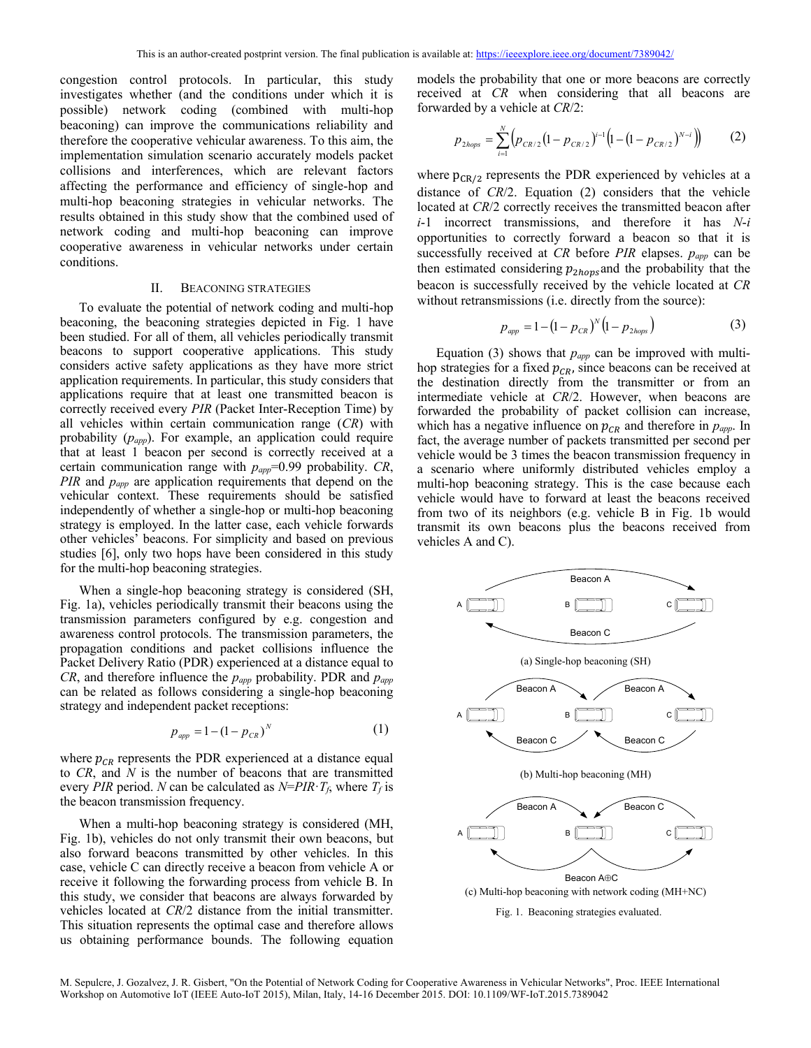congestion control protocols. In particular, this study investigates whether (and the conditions under which it is possible) network coding (combined with multi-hop beaconing) can improve the communications reliability and therefore the cooperative vehicular awareness. To this aim, the implementation simulation scenario accurately models packet collisions and interferences, which are relevant factors affecting the performance and efficiency of single-hop and multi-hop beaconing strategies in vehicular networks. The results obtained in this study show that the combined used of network coding and multi-hop beaconing can improve cooperative awareness in vehicular networks under certain conditions.

## II. BEACONING STRATEGIES

To evaluate the potential of network coding and multi-hop beaconing, the beaconing strategies depicted in Fig. 1 have been studied. For all of them, all vehicles periodically transmit beacons to support cooperative applications. This study considers active safety applications as they have more strict application requirements. In particular, this study considers that applications require that at least one transmitted beacon is correctly received every *PIR* (Packet Inter-Reception Time) by all vehicles within certain communication range (*CR*) with probability (*papp*). For example, an application could require that at least 1 beacon per second is correctly received at a certain communication range with *papp*=0.99 probability. *CR*, *PIR* and *papp* are application requirements that depend on the vehicular context. These requirements should be satisfied independently of whether a single-hop or multi-hop beaconing strategy is employed. In the latter case, each vehicle forwards other vehicles' beacons. For simplicity and based on previous studies [\[6\],](#page-5-5) only two hops have been considered in this study for the multi-hop beaconing strategies.

When a single-hop beaconing strategy is considered (SH, Fig. 1a), vehicles periodically transmit their beacons using the transmission parameters configured by e.g. congestion and awareness control protocols. The transmission parameters, the propagation conditions and packet collisions influence the Packet Delivery Ratio (PDR) experienced at a distance equal to *CR*, and therefore influence the *papp* probability. PDR and *papp* can be related as follows considering a single-hop beaconing strategy and independent packet receptions:

$$
p_{app} = 1 - (1 - p_{CR})^N \tag{1}
$$

where  $p_{CR}$  represents the PDR experienced at a distance equal to *CR*, and *N* is the number of beacons that are transmitted every *PIR* period. *N* can be calculated as  $N=PIR \cdot T_f$ , where  $T_f$  is the beacon transmission frequency.

When a multi-hop beaconing strategy is considered (MH, Fig. 1b), vehicles do not only transmit their own beacons, but also forward beacons transmitted by other vehicles. In this case, vehicle C can directly receive a beacon from vehicle A or receive it following the forwarding process from vehicle B. In this study, we consider that beacons are always forwarded by vehicles located at *CR*/2 distance from the initial transmitter. This situation represents the optimal case and therefore allows us obtaining performance bounds. The following equation models the probability that one or more beacons are correctly received at *CR* when considering that all beacons are forwarded by a vehicle at *CR*/2:

$$
p_{2\text{hops}} = \sum_{i=1}^{N} \left( p_{\text{CR}/2} \left( 1 - p_{\text{CR}/2} \right)^{i-1} \left( 1 - \left( 1 - p_{\text{CR}/2} \right)^{N-i} \right) \right) \tag{2}
$$

where  $p_{CR/2}$  represents the PDR experienced by vehicles at a distance of *CR*/2. Equation (2) considers that the vehicle located at *CR*/2 correctly receives the transmitted beacon after *i*-1 incorrect transmissions, and therefore it has *N*-*i* opportunities to correctly forward a beacon so that it is successfully received at *CR* before *PIR* elapses. *papp* can be then estimated considering  $p_{2hops}$  and the probability that the beacon is successfully received by the vehicle located at *CR* without retransmissions (i.e. directly from the source):

$$
p_{app} = 1 - (1 - p_{CR})^N (1 - p_{2hops})
$$
 (3)

Equation (3) shows that  $p_{app}$  can be improved with multihop strategies for a fixed  $p_{CR}$ , since beacons can be received at the destination directly from the transmitter or from an intermediate vehicle at *CR*/2. However, when beacons are forwarded the probability of packet collision can increase, which has a negative influence on  $p_{CR}$  and therefore in  $p_{app}$ . In fact, the average number of packets transmitted per second per vehicle would be 3 times the beacon transmission frequency in a scenario where uniformly distributed vehicles employ a multi-hop beaconing strategy. This is the case because each vehicle would have to forward at least the beacons received from two of its neighbors (e.g. vehicle B in Fig. 1b would transmit its own beacons plus the beacons received from vehicles A and C).



M. Sepulcre, J. Gozalvez, J. R. Gisbert, "On the Potential of Network Coding for Cooperative Awareness in Vehicular Networks", Proc. IEEE International Workshop on Automotive IoT (IEEE Auto-IoT 2015), Milan, Italy, 14-16 December 2015. DOI: 10.1109/WF-IoT.2015.7389042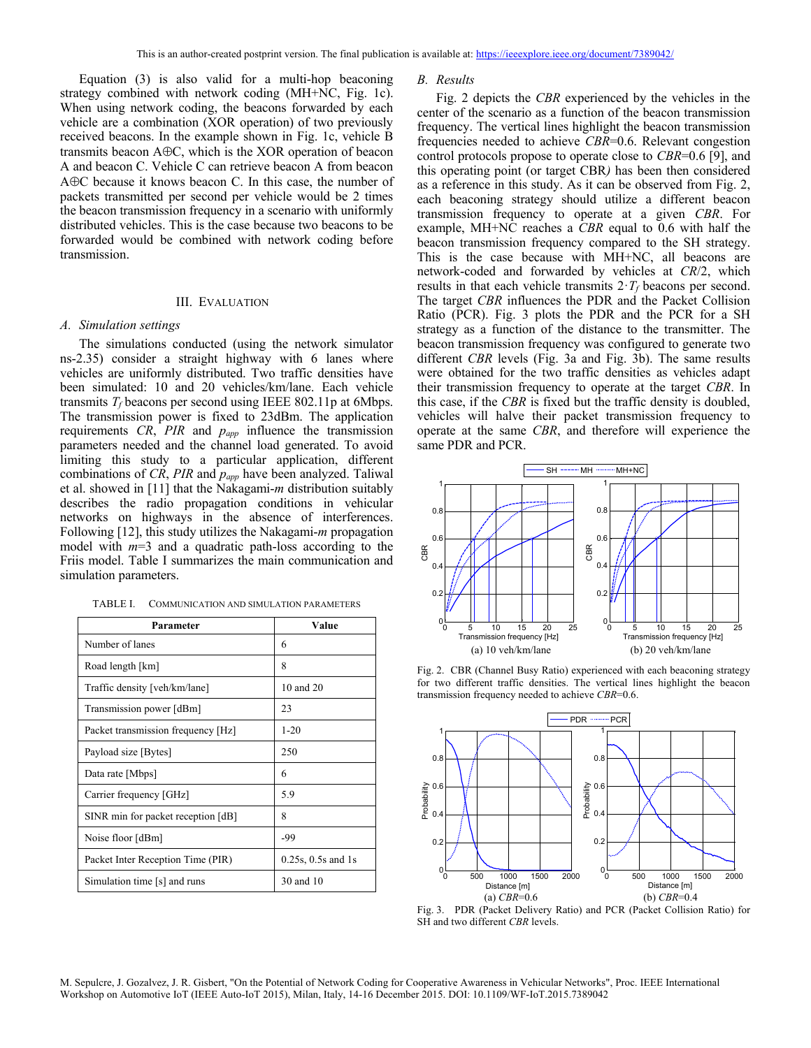Equation (3) is also valid for a multi-hop beaconing strategy combined with network coding (MH+NC, Fig. 1c). When using network coding, the beacons forwarded by each vehicle are a combination (XOR operation) of two previously received beacons. In the example shown in Fig. 1c, vehicle B transmits beacon  $A \oplus C$ , which is the XOR operation of beacon A and beacon C. Vehicle C can retrieve beacon A from beacon A $\oplus$ C because it knows beacon C. In this case, the number of packets transmitted per second per vehicle would be 2 times the beacon transmission frequency in a scenario with uniformly distributed vehicles. This is the case because two beacons to be forwarded would be combined with network coding before transmission.

## III. EVALUATION

# *A. Simulation settings*

The simulations conducted (using the network simulator ns-2.35) consider a straight highway with 6 lanes where vehicles are uniformly distributed. Two traffic densities have been simulated: 10 and 20 vehicles/km/lane. Each vehicle transmits  $T_f$  beacons per second using IEEE 802.11p at 6Mbps. The transmission power is fixed to 23dBm. The application requirements *CR*, *PIR* and *papp* influence the transmission parameters needed and the channel load generated. To avoid limiting this study to a particular application, different combinations of *CR*, *PIR* and *papp* have been analyzed. Taliwal et al. showed in [\[11\]](#page-5-10) that the Nakagami-*m* distribution suitably describes the radio propagation conditions in vehicular networks on highways in the absence of interferences. Followin[g \[12\],](#page-5-11) this study utilizes the Nakagami-*m* propagation model with *m*=3 and a quadratic path-loss according to the Friis model. Table I summarizes the main communication and simulation parameters.

| Parameter                          | Value                   |
|------------------------------------|-------------------------|
| Number of lanes                    | 6                       |
| Road length [km]                   | 8                       |
| Traffic density [veh/km/lane]      | 10 and 20               |
| Transmission power [dBm]           | 23                      |
| Packet transmission frequency [Hz] | $1 - 20$                |
| Payload size [Bytes]               | 250                     |
| Data rate [Mbps]                   | 6                       |
| Carrier frequency [GHz]            | 5.9                     |
| SINR min for packet reception [dB] | 8                       |
| Noise floor [dBm]                  | -99                     |
| Packet Inter Reception Time (PIR)  | $0.25s$ , $0.5s$ and 1s |
| Simulation time [s] and runs       | 30 and 10               |

TABLE I. COMMUNICATION AND SIMULATION PARAMETERS

## *B. Results*

[Fig. 2](#page-2-0) depicts the *CBR* experienced by the vehicles in the center of the scenario as a function of the beacon transmission frequency. The vertical lines highlight the beacon transmission frequencies needed to achieve *CBR*=0.6. Relevant congestion control protocols propose to operate close to *CBR*=0.6 [\[9\],](#page-5-8) and this operating point (or target CBR*)* has been then considered as a reference in this study. As it can be observed from [Fig. 2,](#page-2-0) each beaconing strategy should utilize a different beacon transmission frequency to operate at a given *CBR*. For example, MH+NC reaches a *CBR* equal to 0.6 with half the beacon transmission frequency compared to the SH strategy. This is the case because with MH+NC, all beacons are network-coded and forwarded by vehicles at *CR*/2, which results in that each vehicle transmits  $2 \cdot T_f$  beacons per second. The target *CBR* influences the PDR and the Packet Collision Ratio (PCR). [Fig. 3](#page-2-1) plots the PDR and the PCR for a SH strategy as a function of the distance to the transmitter. The beacon transmission frequency was configured to generate two different *CBR* levels [\(Fig. 3a](#page-2-1) and [Fig. 3b](#page-2-1)). The same results were obtained for the two traffic densities as vehicles adapt their transmission frequency to operate at the target *CBR*. In this case, if the *CBR* is fixed but the traffic density is doubled, vehicles will halve their packet transmission frequency to operate at the same *CBR*, and therefore will experience the same PDR and PCR.



<span id="page-2-0"></span>Fig. 2. CBR (Channel Busy Ratio) experienced with each beaconing strategy for two different traffic densities. The vertical lines highlight the beacon transmission frequency needed to achieve *CBR*=0.6.



<span id="page-2-1"></span>Fig. 3. PDR (Packet Delivery Ratio) and PCR (Packet Collision Ratio) for SH and two different *CBR* levels.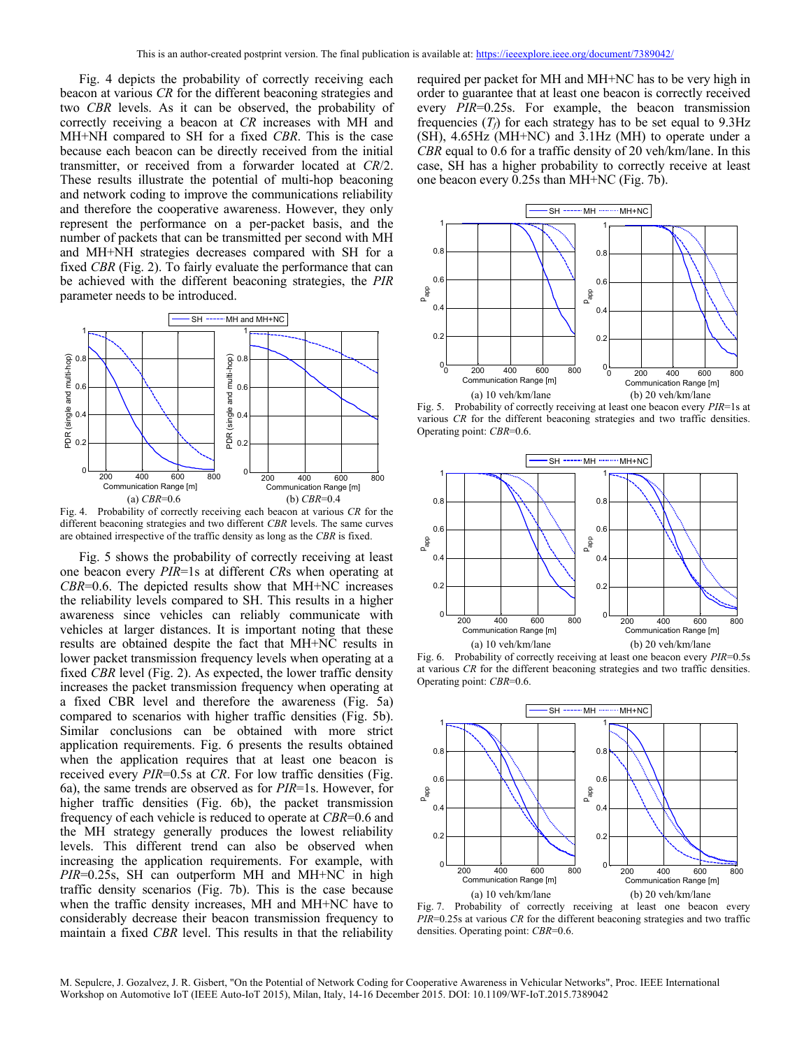[Fig. 4](#page-3-0) depicts the probability of correctly receiving each beacon at various *CR* for the different beaconing strategies and two *CBR* levels. As it can be observed, the probability of correctly receiving a beacon at *CR* increases with MH and MH+NH compared to SH for a fixed *CBR*. This is the case because each beacon can be directly received from the initial transmitter, or received from a forwarder located at *CR*/2. These results illustrate the potential of multi-hop beaconing and network coding to improve the communications reliability and therefore the cooperative awareness. However, they only represent the performance on a per-packet basis, and the number of packets that can be transmitted per second with MH and MH+NH strategies decreases compared with SH for a fixed *CBR* [\(Fig. 2\)](#page-2-0). To fairly evaluate the performance that can be achieved with the different beaconing strategies, the *PIR* parameter needs to be introduced.



<span id="page-3-0"></span>Fig. 4. Probability of correctly receiving each beacon at various *CR* for the different beaconing strategies and two different *CBR* levels. The same curves are obtained irrespective of the traffic density as long as the *CBR* is fixed.

[Fig. 5](#page-3-1) shows the probability of correctly receiving at least one beacon every *PIR*=1s at different *CR*s when operating at *CBR*=0.6. The depicted results show that MH+NC increases the reliability levels compared to SH. This results in a higher awareness since vehicles can reliably communicate with vehicles at larger distances. It is important noting that these results are obtained despite the fact that MH+NC results in lower packet transmission frequency levels when operating at a fixed *CBR* level [\(Fig. 2\)](#page-2-0). As expected, the lower traffic density increases the packet transmission frequency when operating at a fixed CBR level and therefore the awareness [\(Fig. 5a](#page-3-1)) compared to scenarios with higher traffic densities [\(Fig. 5b](#page-3-1)). Similar conclusions can be obtained with more strict application requirements. [Fig. 6](#page-3-2) presents the results obtained when the application requires that at least one beacon is received every *PIR*=0.5s at *CR*. For low traffic densities [\(Fig.](#page-3-2)  [6a](#page-3-2)), the same trends are observed as for *PIR*=1s. However, for higher traffic densities [\(Fig. 6b](#page-3-2)), the packet transmission frequency of each vehicle is reduced to operate at *CBR*=0.6 and the MH strategy generally produces the lowest reliability levels. This different trend can also be observed when increasing the application requirements. For example, with *PIR*=0.25s, SH can outperform MH and MH+NC in high traffic density scenarios [\(Fig. 7b](#page-3-3)). This is the case because when the traffic density increases, MH and MH+NC have to considerably decrease their beacon transmission frequency to maintain a fixed *CBR* level. This results in that the reliability

required per packet for MH and MH+NC has to be very high in order to guarantee that at least one beacon is correctly received every *PIR*=0.25s. For example, the beacon transmission frequencies  $(T_f)$  for each strategy has to be set equal to 9.3Hz (SH), 4.65Hz (MH+NC) and 3.1Hz (MH) to operate under a *CBR* equal to 0.6 for a traffic density of 20 veh/km/lane. In this case, SH has a higher probability to correctly receive at least one beacon every 0.25s than MH+NC [\(Fig. 7b](#page-3-3)).



<span id="page-3-1"></span>Fig. 5. Probability of correctly receiving at least one beacon every *PIR*=1s at various *CR* for the different beaconing strategies and two traffic densities. Operating point: *CBR*=0.6.



<span id="page-3-2"></span>Fig. 6. Probability of correctly receiving at least one beacon every *PIR*=0.5s at various *CR* for the different beaconing strategies and two traffic densities. Operating point: *CBR*=0.6.



<span id="page-3-3"></span>Fig. 7. Probability of correctly receiving at least one beacon every *PIR*=0.25s at various *CR* for the different beaconing strategies and two traffic densities. Operating point: *CBR*=0.6.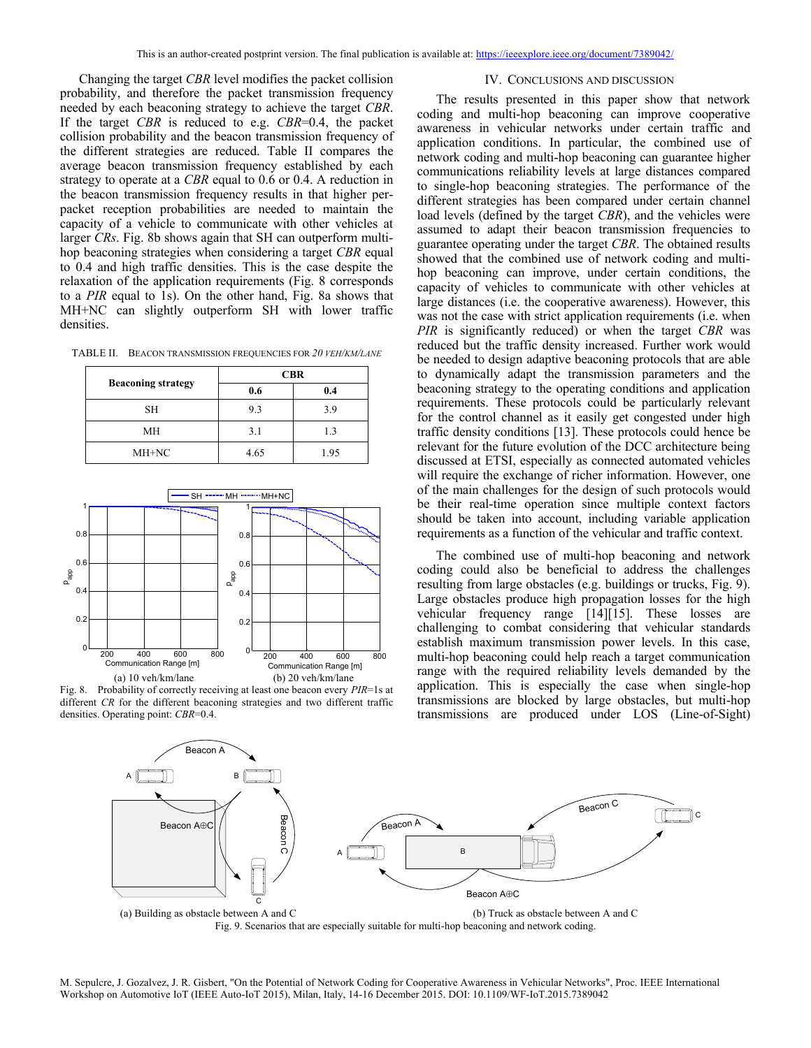Changing the target *CBR* level modifies the packet collision probability, and therefore the packet transmission frequency needed by each beaconing strategy to achieve the target *CBR*. If the target *CBR* is reduced to e.g. *CBR*=0.4, the packet collision probability and the beacon transmission frequency of the different strategies are reduced. Table II compares the average beacon transmission frequency established by each strategy to operate at a *CBR* equal to 0.6 or 0.4. A reduction in the beacon transmission frequency results in that higher perpacket reception probabilities are needed to maintain the capacity of a vehicle to communicate with other vehicles at larger *CRs*. [Fig. 8b](#page-4-0) shows again that SH can outperform multihop beaconing strategies when considering a target *CBR* equal to 0.4 and high traffic densities. This is the case despite the relaxation of the application requirements [\(Fig. 8](#page-4-0) corresponds to a *PIR* equal to 1s). On the other hand, [Fig. 8a](#page-4-0) shows that MH+NC can slightly outperform SH with lower traffic densities.

TABLE II. BEACON TRANSMISSION FREQUENCIES FOR *20 VEH/KM/LANE*

| <b>Beaconing strategy</b> | <b>CBR</b> |      |
|---------------------------|------------|------|
|                           | 0.6        | 0.4  |
| SH                        | 9.3        | 3.9  |
| MН                        | 3.1        | 1.3  |
| MH+NC                     | 4.65       | 1.95 |



<span id="page-4-0"></span>Fig. 8. Probability of correctly receiving at least one beacon every *PIR*=1s at different *CR* for the different beaconing strategies and two different traffic densities. Operating point: *CBR*=0.4.

### IV. CONCLUSIONS AND DISCUSSION

The results presented in this paper show that network coding and multi-hop beaconing can improve cooperative awareness in vehicular networks under certain traffic and application conditions. In particular, the combined use of network coding and multi-hop beaconing can guarantee higher communications reliability levels at large distances compared to single-hop beaconing strategies. The performance of the different strategies has been compared under certain channel load levels (defined by the target *CBR*), and the vehicles were assumed to adapt their beacon transmission frequencies to guarantee operating under the target *CBR*. The obtained results showed that the combined use of network coding and multihop beaconing can improve, under certain conditions, the capacity of vehicles to communicate with other vehicles at large distances (i.e. the cooperative awareness). However, this was not the case with strict application requirements (i.e. when *PIR* is significantly reduced) or when the target *CBR* was reduced but the traffic density increased. Further work would be needed to design adaptive beaconing protocols that are able to dynamically adapt the transmission parameters and the beaconing strategy to the operating conditions and application requirements. These protocols could be particularly relevant for the control channel as it easily get congested under high traffic density conditions [\[13\].](#page-5-12) These protocols could hence be relevant for the future evolution of the DCC architecture being discussed at ETSI, especially as connected automated vehicles will require the exchange of richer information. However, one of the main challenges for the design of such protocols would be their real-time operation since multiple context factors should be taken into account, including variable application requirements as a function of the vehicular and traffic context.

The combined use of multi-hop beaconing and network coding could also be beneficial to address the challenges resulting from large obstacles (e.g. buildings or trucks, Fig. 9). Large obstacles produce high propagation losses for the high vehicular frequency range [\[14\]](#page-5-13)[\[15\].](#page-5-14) These losses are challenging to combat considering that vehicular standards establish maximum transmission power levels. In this case, multi-hop beaconing could help reach a target communication range with the required reliability levels demanded by the application. This is especially the case when single-hop transmissions are blocked by large obstacles, but multi-hop transmissions are produced under LOS (Line-of-Sight)



Fig. 9. Scenarios that are especially suitable for multi-hop beaconing and network coding.

M. Sepulcre, J. Gozalvez, J. R. Gisbert, "On the Potential of Network Coding for Cooperative Awareness in Vehicular Networks", Proc. IEEE International Workshop on Automotive IoT (IEEE Auto-IoT 2015), Milan, Italy, 14-16 December 2015. DOI: 10.1109/WF-IoT.2015.7389042